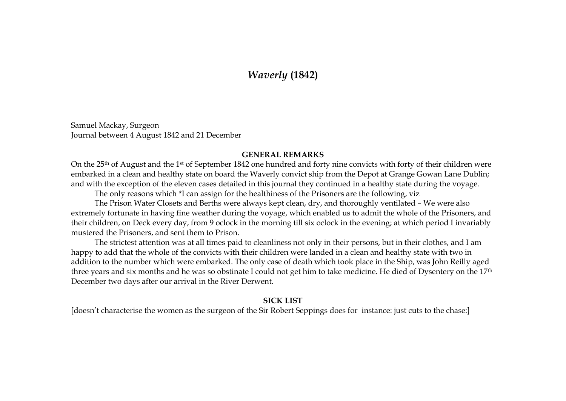## *Waverly* **(1842)**

Samuel Mackay, Surgeon Journal between 4 August 1842 and 21 December

## **GENERAL REMARKS**

On the 25th of August and the 1st of September 1842 one hundred and forty nine convicts with forty of their children were embarked in a clean and healthy state on board the Waverly convict ship from the Depot at Grange Gowan Lane Dublin; and with the exception of the eleven cases detailed in this journal they continued in a healthy state during the voyage.

The only reasons which \*I can assign for the healthiness of the Prisoners are the following, viz

 The Prison Water Closets and Berths were always kept clean, dry, and thoroughly ventilated – We were also extremely fortunate in having fine weather during the voyage, which enabled us to admit the whole of the Prisoners, and their children, on Deck every day, from 9 oclock in the morning till six oclock in the evening; at which period I invariably mustered the Prisoners, and sent them to Prison.

 The strictest attention was at all times paid to cleanliness not only in their persons, but in their clothes, and I am happy to add that the whole of the convicts with their children were landed in a clean and healthy state with two in addition to the number which were embarked. The only case of death which took place in the Ship, was John Reilly aged three years and six months and he was so obstinate I could not get him to take medicine. He died of Dysentery on the 17th December two days after our arrival in the River Derwent.

## **SICK LIST**

[doesn't characterise the women as the surgeon of the Sir Robert Seppings does for instance: just cuts to the chase:]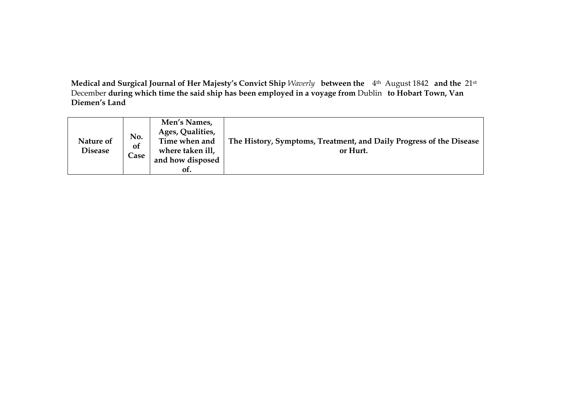**Medical and Surgical Journal of Her Majesty's Convict Ship** *Waverly* **between the**  4th August 1842 **and the** 21st December **during which time the said ship has been employed in a voyage from** Dublin **to Hobart Town, Van Diemen's Land** 

| Nature of<br><b>Disease</b> | No.<br>of<br>$\mathsf{Case}$ | Men's Names,<br>Ages, Qualities,<br>Time when and<br>where taken ill,<br>and how disposed<br>of. | The History, Symptoms, Treatment, and Daily Progress of the Disease<br>or Hurt. |
|-----------------------------|------------------------------|--------------------------------------------------------------------------------------------------|---------------------------------------------------------------------------------|
|-----------------------------|------------------------------|--------------------------------------------------------------------------------------------------|---------------------------------------------------------------------------------|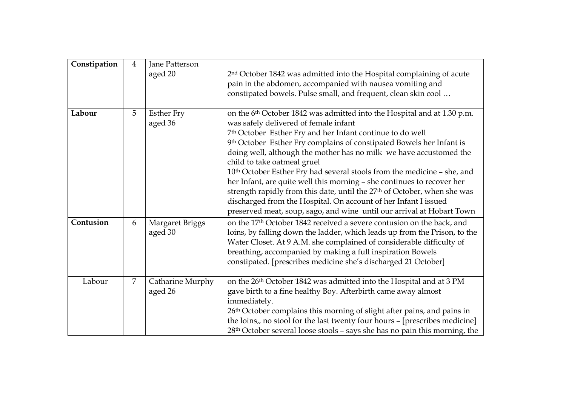| Constipation | $\overline{4}$ | Jane Patterson<br>aged 20    | 2 <sup>nd</sup> October 1842 was admitted into the Hospital complaining of acute<br>pain in the abdomen, accompanied with nausea vomiting and<br>constipated bowels. Pulse small, and frequent, clean skin cool                                                                                                                                                                                                                                                                                                                                                                                                                                                                                                                                                             |
|--------------|----------------|------------------------------|-----------------------------------------------------------------------------------------------------------------------------------------------------------------------------------------------------------------------------------------------------------------------------------------------------------------------------------------------------------------------------------------------------------------------------------------------------------------------------------------------------------------------------------------------------------------------------------------------------------------------------------------------------------------------------------------------------------------------------------------------------------------------------|
| Labour       | 5              | <b>Esther Fry</b><br>aged 36 | on the 6 <sup>th</sup> October 1842 was admitted into the Hospital and at 1.30 p.m.<br>was safely delivered of female infant<br>7th October Esther Fry and her Infant continue to do well<br>9th October Esther Fry complains of constipated Bowels her Infant is<br>doing well, although the mother has no milk we have accustomed the<br>child to take oatmeal gruel<br>10 <sup>th</sup> October Esther Fry had several stools from the medicine - she, and<br>her Infant, are quite well this morning - she continues to recover her<br>strength rapidly from this date, until the 27 <sup>th</sup> of October, when she was<br>discharged from the Hospital. On account of her Infant I issued<br>preserved meat, soup, sago, and wine until our arrival at Hobart Town |
| Contusion    | 6              | Margaret Briggs<br>aged 30   | on the 17th October 1842 received a severe contusion on the back, and<br>loins, by falling down the ladder, which leads up from the Prison, to the<br>Water Closet. At 9 A.M. she complained of considerable difficulty of<br>breathing, accompanied by making a full inspiration Bowels<br>constipated. [prescribes medicine she's discharged 21 October]                                                                                                                                                                                                                                                                                                                                                                                                                  |
| Labour       | 7              | Catharine Murphy<br>aged 26  | on the 26 <sup>th</sup> October 1842 was admitted into the Hospital and at 3 PM<br>gave birth to a fine healthy Boy. Afterbirth came away almost<br>immediately.<br>26th October complains this morning of slight after pains, and pains in<br>the loins,, no stool for the last twenty four hours - [prescribes medicine]<br>28 <sup>th</sup> October several loose stools - says she has no pain this morning, the                                                                                                                                                                                                                                                                                                                                                        |